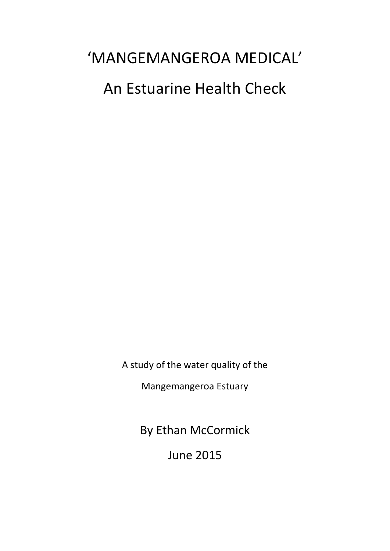### 'MANGEMANGEROA MEDICAL' An Estuarine Health Check

A study of the water quality of the

Mangemangeroa Estuary

By Ethan McCormick

June 2015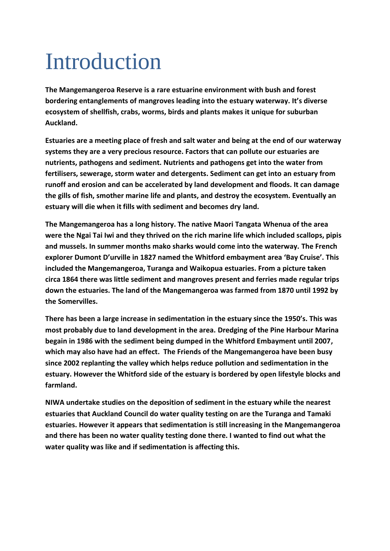# Introduction

**The Mangemangeroa Reserve is a rare estuarine environment with bush and forest bordering entanglements of mangroves leading into the estuary waterway. It's diverse ecosystem of shellfish, crabs, worms, birds and plants makes it unique for suburban Auckland.**

**Estuaries are a meeting place of fresh and salt water and being at the end of our waterway systems they are a very precious resource. Factors that can pollute our estuaries are nutrients, pathogens and sediment. Nutrients and pathogens get into the water from fertilisers, sewerage, storm water and detergents. Sediment can get into an estuary from runoff and erosion and can be accelerated by land development and floods. It can damage the gills of fish, smother marine life and plants, and destroy the ecosystem. Eventually an estuary will die when it fills with sediment and becomes dry land.** 

**The Mangemangeroa has a long history. The native Maori Tangata Whenua of the area were the Ngai Tai Iwi and they thrived on the rich marine life which included scallops, pipis and mussels. In summer months mako sharks would come into the waterway. The French explorer Dumont D'urville in 1827 named the Whitford embayment area 'Bay Cruise'. This included the Mangemangeroa, Turanga and Waikopua estuaries. From a picture taken circa 1864 there was little sediment and mangroves present and ferries made regular trips down the estuaries. The land of the Mangemangeroa was farmed from 1870 until 1992 by the Somervilles.**

**There has been a large increase in sedimentation in the estuary since the 1950's. This was most probably due to land development in the area. Dredging of the Pine Harbour Marina begain in 1986 with the sediment being dumped in the Whitford Embayment until 2007, which may also have had an effect. The Friends of the Mangemangeroa have been busy since 2002 replanting the valley which helps reduce pollution and sedimentation in the estuary. However the Whitford side of the estuary is bordered by open lifestyle blocks and farmland.** 

**NIWA undertake studies on the deposition of sediment in the estuary while the nearest estuaries that Auckland Council do water quality testing on are the Turanga and Tamaki estuaries. However it appears that sedimentation is still increasing in the Mangemangeroa and there has been no water quality testing done there. I wanted to find out what the water quality was like and if sedimentation is affecting this.**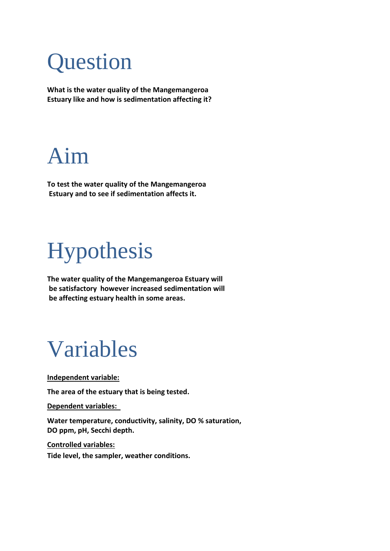# **Question**

**What is the water quality of the Mangemangeroa Estuary like and how is sedimentation affecting it?**

### Aim

**To test the water quality of the Mangemangeroa Estuary and to see if sedimentation affects it.** 

# Hypothesis

**The water quality of the Mangemangeroa Estuary will be satisfactory however increased sedimentation will be affecting estuary health in some areas.** 

### Variables

**Independent variable:** 

**The area of the estuary that is being tested.**

**Dependent variables:** 

**Water temperature, conductivity, salinity, DO % saturation, DO ppm, pH, Secchi depth.**

**Controlled variables:** 

**Tide level, the sampler, weather conditions.**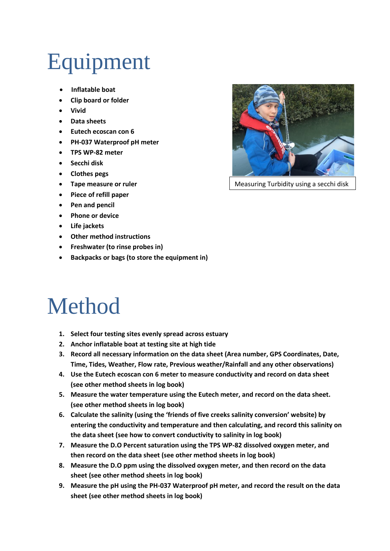# Equipment

- **Inflatable boat**
- **Clip board or folder**
- **Vivid**
- **Data sheets**
- **Eutech ecoscan con 6**
- **PH-037 Waterproof pH meter**
- **TPS WP-82 meter**
- **Secchi disk**
- **Clothes pegs**
- **Tape measure or ruler**
- **Piece of refill paper**
- **Pen and pencil**
- **Phone or device**
- **Life jackets**
- **Other method instructions**
- **Freshwater (to rinse probes in)**
- **Backpacks or bags (to store the equipment in)**

## Method

- **1. Select four testing sites evenly spread across estuary**
- **2. Anchor inflatable boat at testing site at high tide**
- **3. Record all necessary information on the data sheet (Area number, GPS Coordinates, Date, Time, Tides, Weather, Flow rate, Previous weather/Rainfall and any other observations)**
- **4. Use the Eutech ecoscan con 6 meter to measure conductivity and record on data sheet (see other method sheets in log book)**
- **5. Measure the water temperature using the Eutech meter, and record on the data sheet. (see other method sheets in log book)**
- **6. Calculate the salinity (using the 'friends of five creeks salinity conversion' website) by entering the conductivity and temperature and then calculating, and record this salinity on the data sheet (see how to convert conductivity to salinity in log book)**
- **7. Measure the D.O Percent saturation using the TPS WP-82 dissolved oxygen meter, and then record on the data sheet (see other method sheets in log book)**
- **8. Measure the D.O ppm using the dissolved oxygen meter, and then record on the data sheet (see other method sheets in log book)**
- **9. Measure the pH using the PH-037 Waterproof pH meter, and record the result on the data sheet (see other method sheets in log book)**



Measuring Turbidity using a secchi disk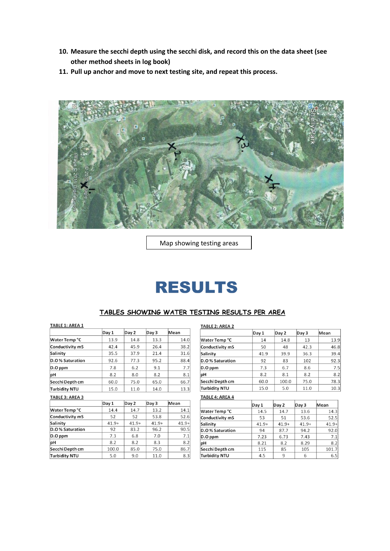- **10. Measure the secchi depth using the secchi disk, and record this on the data sheet (see other method sheets in log book)**
- **11. Pull up anchor and move to next testing site, and repeat this process.**



Map showing testing areas

### **RESULTS**

#### TABLES SHOWING WATER TESTING RESULTS PER AREA

#### TABLE 1: AREA 1

|                        | Day 1 | Day 2 | Day 3 | Mean |  |  |
|------------------------|-------|-------|-------|------|--|--|
| Water Temp °C          | 13.9  | 14.8  | 13.3  | 14.0 |  |  |
| Conductivity mS        | 42.4  | 45.9  | 26.4  | 38.2 |  |  |
| Salinity               | 35.5  | 37.9  | 21.4  | 31.6 |  |  |
| D.O% Saturation        | 92.6  | 77.3  | 95.2  | 88.4 |  |  |
| $D.O$ ppm              | 7.8   | 6.2   | 9.1   | 7.7  |  |  |
| ∣pH                    | 8.2   | 8.0   | 8.2   | 8.1  |  |  |
| Secchi Depth cm        | 60.0  | 75.0  | 65.0  | 66.7 |  |  |
| <b>Turbidity NTU</b>   | 15.0  | 11.0  | 14.0  | 13.3 |  |  |
| <b>TABLE 3: AREA 3</b> |       |       |       |      |  |  |
|                        | Day 1 | Day 2 | Day 3 | Mean |  |  |

|                 | ∣Ddγ ⊥  | Day 2   | Day 3   | iiviean |
|-----------------|---------|---------|---------|---------|
| Water Temp °C   | 14.4    | 14.7    | 13.2    | 14.1    |
| Conductivity mS | 52      | 52      | 53.8    | 52.6    |
| Salinity        | $41.9+$ | $41.9+$ | $41.9+$ | $41.9+$ |
| D.O% Saturation | 92      | 83.2    | 96.2    | 90.5    |
| $D.O$ ppm       | 7.3     | 6.8     | 7.0     | 7.1     |
| рH              | 8.2     | 8.2     | 8.3     | 8.2     |
| Secchi Depth cm | 100.0   | 85.0    | 75.0    | 86.7    |
| Turbidity NTU   | 5.0     | 9.0     | 11.0    | 8.3     |
|                 |         |         |         |         |

#### TABLE 2: AREA 2

|                      | Day 1 | Day 2 | Day 3 | Mean |
|----------------------|-------|-------|-------|------|
| Water Temp °C        | 14    | 14.8  | 13    | 13.9 |
| Conductivity mS      | 50    | 48    | 42.3  | 46.8 |
| Salinity             | 41.9  | 39.9  | 36.3  | 39.4 |
| D.O% Saturation      | 92    | 83    | 102   | 92.3 |
| $D.O$ ppm            | 7.3   | 6.7   | 8.6   | 7.5  |
| рH                   | 8.2   | 8.1   | 8.2   | 8.2  |
| Secchi Depth cm      | 60.0  | 100.0 | 75.0  | 78.3 |
| <b>Turbidity NTU</b> | 15.0  | 5.0   | 11.0  | 10.3 |

#### TABLE 4: AREA 4

| Day 1   | Day 2              |      | Mean    |
|---------|--------------------|------|---------|
| 14.5    | 14.7               | 13.6 | 14.3    |
| 53      | 51                 | 53.6 | 52.5    |
| $41.9+$ | $41.9+$<br>$41.9+$ |      | $41.9+$ |
| 94      | 87.7               | 94.2 |         |
| 7.23    | 6.73<br>7.43       |      | 7.1     |
| 8.21    | 8.29<br>8.2        |      | 8.2     |
| 115     | 105<br>85          |      | 101.7   |
| 4.5     | 9                  | 6    | 6.5     |
|         |                    |      | Day 3   |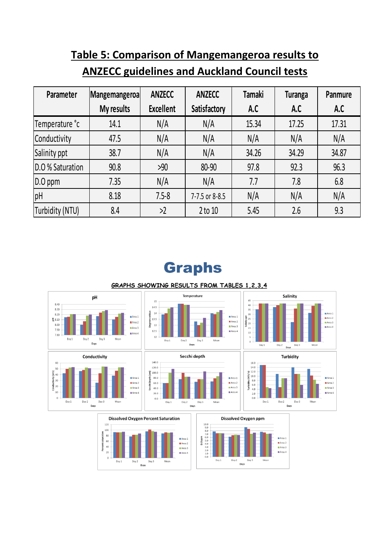### **Table 5: Comparison of Mangemangeroa results to ANZECC guidelines and Auckland Council tests**

| Parameter        | Mangemangeroa | <b>ANZECC</b>    | <b>ANZECC</b>  | <b>Tamaki</b> | <b>Turanga</b> | Panmure |
|------------------|---------------|------------------|----------------|---------------|----------------|---------|
|                  | My results    | <b>Excellent</b> | Satisfactory   | A.C           | A.C            | A.C     |
| Temperature °c   | 14.1          | N/A              | N/A            | 15.34         | 17.25          | 17.31   |
| Conductivity     | 47.5          | N/A              | N/A            | N/A           | N/A            | N/A     |
| Salinity ppt     | 38.7          | N/A              | N/A            | 34.26         | 34.29          | 34.87   |
| D.O % Saturation | 90.8          | >90              | 80-90          | 97.8          | 92.3           | 96.3    |
| $D.O$ ppm        | 7.35          | N/A              | N/A            | 7.7           | 7.8            | 6.8     |
| pH               | 8.18          | $7.5 - 8$        | 7-7.5 or 8-8.5 | N/A           | N/A            | N/A     |
| Turbidity (NTU)  | 8.4           | >2               | $2$ to $10$    | 5.45          | 2.6            | 9.3     |

### **Graphs**



#### GRAPHS SHOWING RESULTS FROM TABLES 1,2,3,4

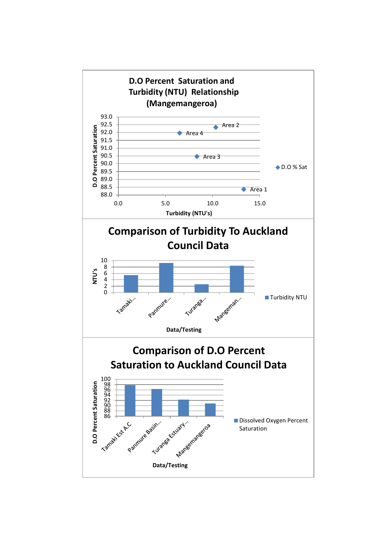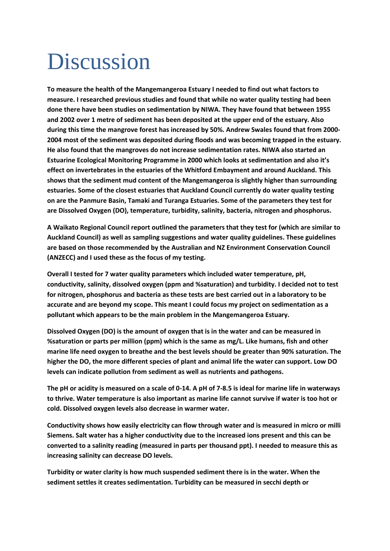# **Discussion**

**To measure the health of the Mangemangeroa Estuary I needed to find out what factors to measure. I researched previous studies and found that while no water quality testing had been done there have been studies on sedimentation by NIWA. They have found that between 1955 and 2002 over 1 metre of sediment has been deposited at the upper end of the estuary. Also during this time the mangrove forest has increased by 50%. Andrew Swales found that from 2000- 2004 most of the sediment was deposited during floods and was becoming trapped in the estuary. He also found that the mangroves do not increase sedimentation rates. NIWA also started an Estuarine Ecological Monitoring Programme in 2000 which looks at sedimentation and also it's effect on invertebrates in the estuaries of the Whitford Embayment and around Auckland. This shows that the sediment mud content of the Mangemangeroa is slightly higher than surrounding estuaries. Some of the closest estuaries that Auckland Council currently do water quality testing on are the Panmure Basin, Tamaki and Turanga Estuaries. Some of the parameters they test for are Dissolved Oxygen (DO), temperature, turbidity, salinity, bacteria, nitrogen and phosphorus.** 

**A Waikato Regional Council report outlined the parameters that they test for (which are similar to Auckland Council) as well as sampling suggestions and water quality guidelines. These guidelines are based on those recommended by the Australian and NZ Environment Conservation Council (ANZECC) and I used these as the focus of my testing.** 

**Overall I tested for 7 water quality parameters which included water temperature, pH, conductivity, salinity, dissolved oxygen (ppm and %saturation) and turbidity. I decided not to test for nitrogen, phosphorus and bacteria as these tests are best carried out in a laboratory to be accurate and are beyond my scope. This meant I could focus my project on sedimentation as a pollutant which appears to be the main problem in the Mangemangeroa Estuary.** 

**Dissolved Oxygen (DO) is the amount of oxygen that is in the water and can be measured in %saturation or parts per million (ppm) which is the same as mg/L. Like humans, fish and other marine life need oxygen to breathe and the best levels should be greater than 90% saturation. The higher the DO, the more different species of plant and animal life the water can support. Low DO levels can indicate pollution from sediment as well as nutrients and pathogens.**

**The pH or acidity is measured on a scale of 0-14. A pH of 7-8.5 is ideal for marine life in waterways to thrive. Water temperature is also important as marine life cannot survive if water is too hot or cold. Dissolved oxygen levels also decrease in warmer water.**

**Conductivity shows how easily electricity can flow through water and is measured in micro or milli Siemens. Salt water has a higher conductivity due to the increased ions present and this can be converted to a salinity reading (measured in parts per thousand ppt). I needed to measure this as increasing salinity can decrease DO levels.**

**Turbidity or water clarity is how much suspended sediment there is in the water. When the sediment settles it creates sedimentation. Turbidity can be measured in secchi depth or**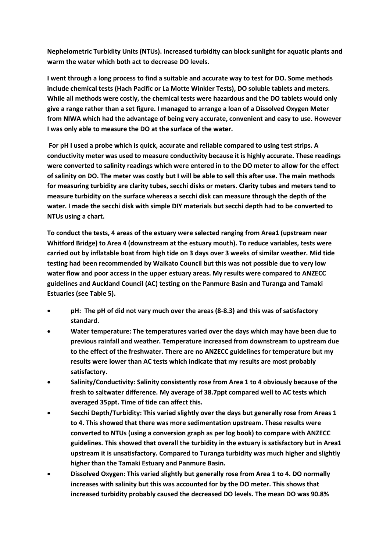**Nephelometric Turbidity Units (NTUs). Increased turbidity can block sunlight for aquatic plants and warm the water which both act to decrease DO levels.** 

**I went through a long process to find a suitable and accurate way to test for DO. Some methods include chemical tests (Hach Pacific or La Motte Winkler Tests), DO soluble tablets and meters. While all methods were costly, the chemical tests were hazardous and the DO tablets would only give a range rather than a set figure. I managed to arrange a loan of a Dissolved Oxygen Meter from NIWA which had the advantage of being very accurate, convenient and easy to use. However I was only able to measure the DO at the surface of the water.**

**For pH I used a probe which is quick, accurate and reliable compared to using test strips. A conductivity meter was used to measure conductivity because it is highly accurate. These readings were converted to salinity readings which were entered in to the DO meter to allow for the effect of salinity on DO. The meter was costly but I will be able to sell this after use. The main methods for measuring turbidity are clarity tubes, secchi disks or meters. Clarity tubes and meters tend to measure turbidity on the surface whereas a secchi disk can measure through the depth of the water. I made the secchi disk with simple DIY materials but secchi depth had to be converted to NTUs using a chart.** 

**To conduct the tests, 4 areas of the estuary were selected ranging from Area1 (upstream near Whitford Bridge) to Area 4 (downstream at the estuary mouth). To reduce variables, tests were carried out by inflatable boat from high tide on 3 days over 3 weeks of similar weather. Mid tide testing had been recommended by Waikato Council but this was not possible due to very low water flow and poor access in the upper estuary areas. My results were compared to ANZECC guidelines and Auckland Council (AC) testing on the Panmure Basin and Turanga and Tamaki Estuaries (see Table 5).**

- **pH: The pH of did not vary much over the areas (8-8.3) and this was of satisfactory standard.**
- **Water temperature: The temperatures varied over the days which may have been due to previous rainfall and weather. Temperature increased from downstream to upstream due to the effect of the freshwater. There are no ANZECC guidelines for temperature but my results were lower than AC tests which indicate that my results are most probably satisfactory.**
- **Salinity/Conductivity: Salinity consistently rose from Area 1 to 4 obviously because of the fresh to saltwater difference. My average of 38.7ppt compared well to AC tests which averaged 35ppt. Time of tide can affect this.**
- **Secchi Depth/Turbidity: This varied slightly over the days but generally rose from Areas 1 to 4. This showed that there was more sedimentation upstream. These results were converted to NTUs (using a conversion graph as per log book) to compare with ANZECC guidelines. This showed that overall the turbidity in the estuary is satisfactory but in Area1 upstream it is unsatisfactory. Compared to Turanga turbidity was much higher and slightly higher than the Tamaki Estuary and Panmure Basin.**
- **Dissolved Oxygen: This varied slightly but generally rose from Area 1 to 4. DO normally increases with salinity but this was accounted for by the DO meter. This shows that increased turbidity probably caused the decreased DO levels. The mean DO was 90.8%**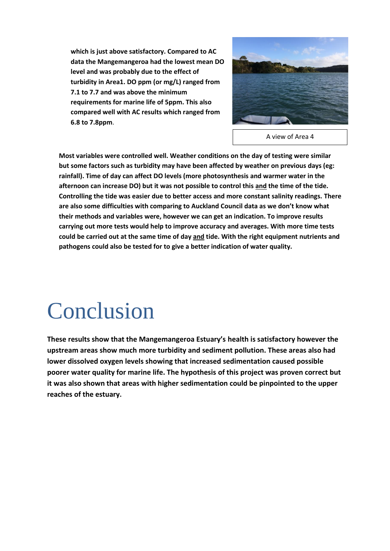**which is just above satisfactory. Compared to AC data the Mangemangeroa had the lowest mean DO level and was probably due to the effect of turbidity in Area1. DO ppm (or mg/L) ranged from 7.1 to 7.7 and was above the minimum requirements for marine life of 5ppm. This also compared well with AC results which ranged from 6.8 to 7.8ppm**.



A view of Area 4

**Most variables were controlled well. Weather conditions on the day of testing were similar but some factors such as turbidity may have been affected by weather on previous days (eg: rainfall). Time of day can affect DO levels (more photosynthesis and warmer water in the afternoon can increase DO) but it was not possible to control this and the time of the tide. Controlling the tide was easier due to better access and more constant salinity readings. There are also some difficulties with comparing to Auckland Council data as we don't know what their methods and variables were, however we can get an indication. To improve results carrying out more tests would help to improve accuracy and averages. With more time tests could be carried out at the same time of day and tide. With the right equipment nutrients and pathogens could also be tested for to give a better indication of water quality.** 

## Conclusion

**These results show that the Mangemangeroa Estuary's health is satisfactory however the upstream areas show much more turbidity and sediment pollution. These areas also had lower dissolved oxygen levels showing that increased sedimentation caused possible poorer water quality for marine life. The hypothesis of this project was proven correct but it was also shown that areas with higher sedimentation could be pinpointed to the upper reaches of the estuary.**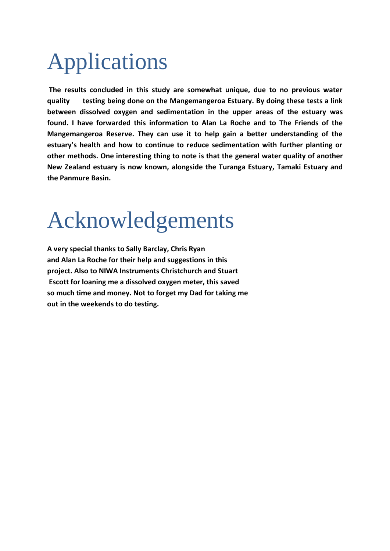# Applications

**The results concluded in this study are somewhat unique, due to no previous water quality testing being done on the Mangemangeroa Estuary. By doing these tests a link between dissolved oxygen and sedimentation in the upper areas of the estuary was found. I have forwarded this information to Alan La Roche and to The Friends of the Mangemangeroa Reserve. They can use it to help gain a better understanding of the estuary's health and how to continue to reduce sedimentation with further planting or other methods. One interesting thing to note is that the general water quality of another New Zealand estuary is now known, alongside the Turanga Estuary, Tamaki Estuary and the Panmure Basin.** 

## Acknowledgements

**A very special thanks to Sally Barclay, Chris Ryan and Alan La Roche for their help and suggestions in this project. Also to NIWA Instruments Christchurch and Stuart Escott for loaning me a dissolved oxygen meter, this saved so much time and money. Not to forget my Dad for taking me out in the weekends to do testing.**